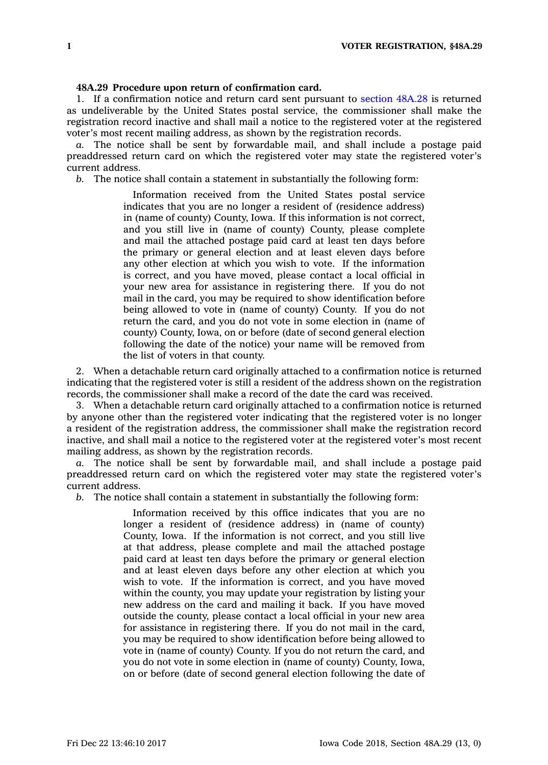## **48A.29 Procedure upon return of confirmation card.**

1. If <sup>a</sup> confirmation notice and return card sent pursuant to [section](https://www.legis.iowa.gov/docs/code/48A.28.pdf) 48A.28 is returned as undeliverable by the United States postal service, the commissioner shall make the registration record inactive and shall mail <sup>a</sup> notice to the registered voter at the registered voter's most recent mailing address, as shown by the registration records.

*a.* The notice shall be sent by forwardable mail, and shall include <sup>a</sup> postage paid preaddressed return card on which the registered voter may state the registered voter's current address.

*b.* The notice shall contain <sup>a</sup> statement in substantially the following form:

Information received from the United States postal service indicates that you are no longer <sup>a</sup> resident of (residence address) in (name of county) County, Iowa. If this information is not correct, and you still live in (name of county) County, please complete and mail the attached postage paid card at least ten days before the primary or general election and at least eleven days before any other election at which you wish to vote. If the information is correct, and you have moved, please contact <sup>a</sup> local official in your new area for assistance in registering there. If you do not mail in the card, you may be required to show identification before being allowed to vote in (name of county) County. If you do not return the card, and you do not vote in some election in (name of county) County, Iowa, on or before (date of second general election following the date of the notice) your name will be removed from the list of voters in that county.

2. When <sup>a</sup> detachable return card originally attached to <sup>a</sup> confirmation notice is returned indicating that the registered voter is still <sup>a</sup> resident of the address shown on the registration records, the commissioner shall make <sup>a</sup> record of the date the card was received.

3. When <sup>a</sup> detachable return card originally attached to <sup>a</sup> confirmation notice is returned by anyone other than the registered voter indicating that the registered voter is no longer <sup>a</sup> resident of the registration address, the commissioner shall make the registration record inactive, and shall mail <sup>a</sup> notice to the registered voter at the registered voter's most recent mailing address, as shown by the registration records.

*a.* The notice shall be sent by forwardable mail, and shall include <sup>a</sup> postage paid preaddressed return card on which the registered voter may state the registered voter's current address.

*b.* The notice shall contain <sup>a</sup> statement in substantially the following form:

Information received by this office indicates that you are no longer <sup>a</sup> resident of (residence address) in (name of county) County, Iowa. If the information is not correct, and you still live at that address, please complete and mail the attached postage paid card at least ten days before the primary or general election and at least eleven days before any other election at which you wish to vote. If the information is correct, and you have moved within the county, you may update your registration by listing your new address on the card and mailing it back. If you have moved outside the county, please contact <sup>a</sup> local official in your new area for assistance in registering there. If you do not mail in the card, you may be required to show identification before being allowed to vote in (name of county) County. If you do not return the card, and you do not vote in some election in (name of county) County, Iowa, on or before (date of second general election following the date of